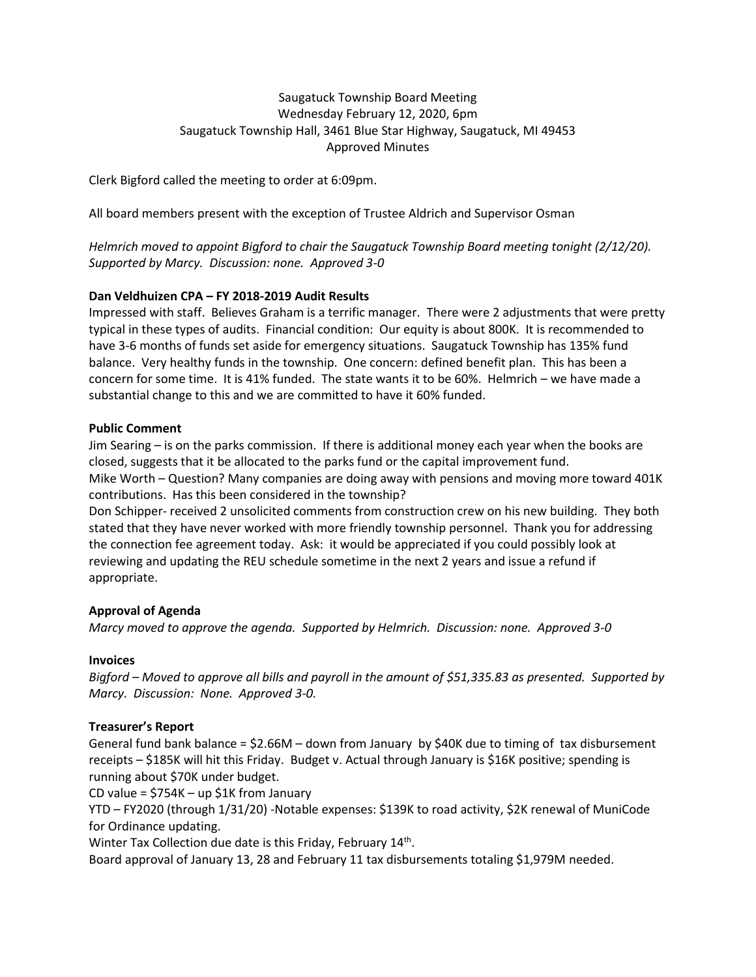# Saugatuck Township Board Meeting Wednesday February 12, 2020, 6pm Saugatuck Township Hall, 3461 Blue Star Highway, Saugatuck, MI 49453 Approved Minutes

Clerk Bigford called the meeting to order at 6:09pm.

All board members present with the exception of Trustee Aldrich and Supervisor Osman

*Helmrich moved to appoint Bigford to chair the Saugatuck Township Board meeting tonight (2/12/20). Supported by Marcy. Discussion: none. Approved 3-0*

# **Dan Veldhuizen CPA – FY 2018-2019 Audit Results**

Impressed with staff. Believes Graham is a terrific manager. There were 2 adjustments that were pretty typical in these types of audits. Financial condition: Our equity is about 800K. It is recommended to have 3-6 months of funds set aside for emergency situations. Saugatuck Township has 135% fund balance. Very healthy funds in the township. One concern: defined benefit plan. This has been a concern for some time. It is 41% funded. The state wants it to be 60%. Helmrich – we have made a substantial change to this and we are committed to have it 60% funded.

# **Public Comment**

Jim Searing – is on the parks commission. If there is additional money each year when the books are closed, suggests that it be allocated to the parks fund or the capital improvement fund. Mike Worth – Question? Many companies are doing away with pensions and moving more toward 401K contributions. Has this been considered in the township?

Don Schipper- received 2 unsolicited comments from construction crew on his new building. They both stated that they have never worked with more friendly township personnel. Thank you for addressing the connection fee agreement today. Ask: it would be appreciated if you could possibly look at reviewing and updating the REU schedule sometime in the next 2 years and issue a refund if appropriate.

# **Approval of Agenda**

*Marcy moved to approve the agenda. Supported by Helmrich. Discussion: none. Approved 3-0*

# **Invoices**

*Bigford – Moved to approve all bills and payroll in the amount of \$51,335.83 as presented. Supported by Marcy. Discussion: None. Approved 3-0.* 

# **Treasurer's Report**

General fund bank balance = \$2.66M – down from January by \$40K due to timing of tax disbursement receipts – \$185K will hit this Friday. Budget v. Actual through January is \$16K positive; spending is running about \$70K under budget.

CD value =  $$754K - up $1K$  from January

YTD – FY2020 (through 1/31/20) -Notable expenses: \$139K to road activity, \$2K renewal of MuniCode for Ordinance updating.

Winter Tax Collection due date is this Friday, February 14<sup>th</sup>.

Board approval of January 13, 28 and February 11 tax disbursements totaling \$1,979M needed.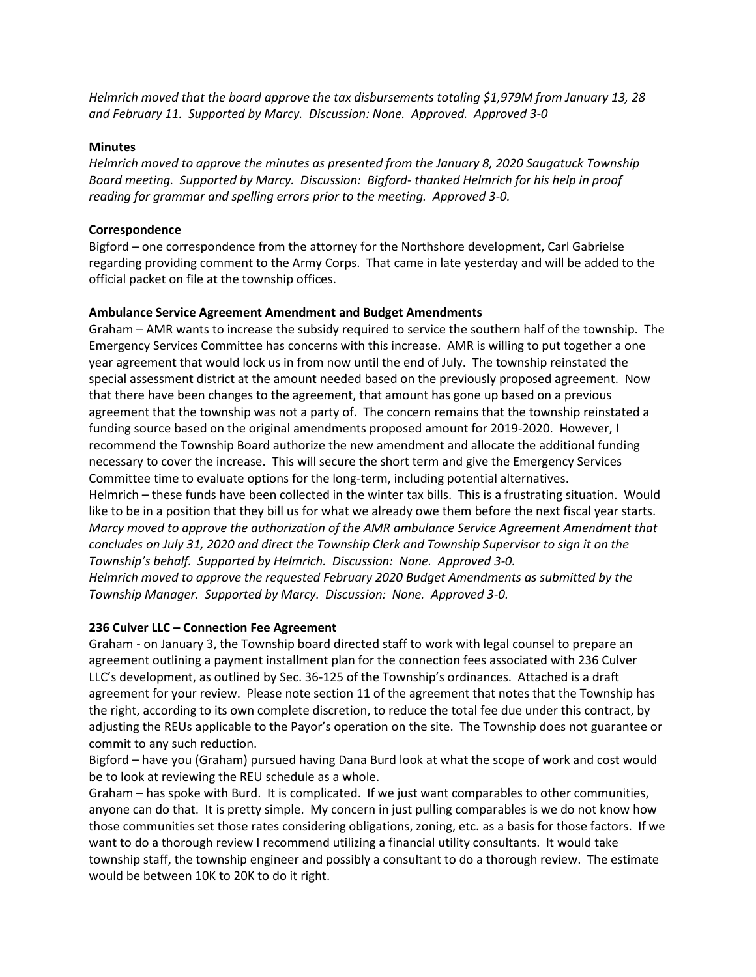*Helmrich moved that the board approve the tax disbursements totaling \$1,979M from January 13, 28 and February 11. Supported by Marcy. Discussion: None. Approved. Approved 3-0*

### **Minutes**

*Helmrich moved to approve the minutes as presented from the January 8, 2020 Saugatuck Township Board meeting. Supported by Marcy. Discussion: Bigford- thanked Helmrich for his help in proof reading for grammar and spelling errors prior to the meeting. Approved 3-0.* 

## **Correspondence**

Bigford – one correspondence from the attorney for the Northshore development, Carl Gabrielse regarding providing comment to the Army Corps. That came in late yesterday and will be added to the official packet on file at the township offices.

# **Ambulance Service Agreement Amendment and Budget Amendments**

Graham – AMR wants to increase the subsidy required to service the southern half of the township. The Emergency Services Committee has concerns with this increase. AMR is willing to put together a one year agreement that would lock us in from now until the end of July. The township reinstated the special assessment district at the amount needed based on the previously proposed agreement. Now that there have been changes to the agreement, that amount has gone up based on a previous agreement that the township was not a party of. The concern remains that the township reinstated a funding source based on the original amendments proposed amount for 2019-2020. However, I recommend the Township Board authorize the new amendment and allocate the additional funding necessary to cover the increase. This will secure the short term and give the Emergency Services Committee time to evaluate options for the long-term, including potential alternatives.

Helmrich – these funds have been collected in the winter tax bills. This is a frustrating situation. Would like to be in a position that they bill us for what we already owe them before the next fiscal year starts. *Marcy moved to approve the authorization of the AMR ambulance Service Agreement Amendment that concludes on July 31, 2020 and direct the Township Clerk and Township Supervisor to sign it on the Township's behalf. Supported by Helmrich. Discussion: None. Approved 3-0.*

*Helmrich moved to approve the requested February 2020 Budget Amendments as submitted by the Township Manager. Supported by Marcy. Discussion: None. Approved 3-0.*

# **236 Culver LLC – Connection Fee Agreement**

Graham - on January 3, the Township board directed staff to work with legal counsel to prepare an agreement outlining a payment installment plan for the connection fees associated with 236 Culver LLC's development, as outlined by Sec. 36-125 of the Township's ordinances. Attached is a draft agreement for your review. Please note section 11 of the agreement that notes that the Township has the right, according to its own complete discretion, to reduce the total fee due under this contract, by adjusting the REUs applicable to the Payor's operation on the site. The Township does not guarantee or commit to any such reduction.

Bigford – have you (Graham) pursued having Dana Burd look at what the scope of work and cost would be to look at reviewing the REU schedule as a whole.

Graham – has spoke with Burd. It is complicated. If we just want comparables to other communities, anyone can do that. It is pretty simple. My concern in just pulling comparables is we do not know how those communities set those rates considering obligations, zoning, etc. as a basis for those factors. If we want to do a thorough review I recommend utilizing a financial utility consultants. It would take township staff, the township engineer and possibly a consultant to do a thorough review. The estimate would be between 10K to 20K to do it right.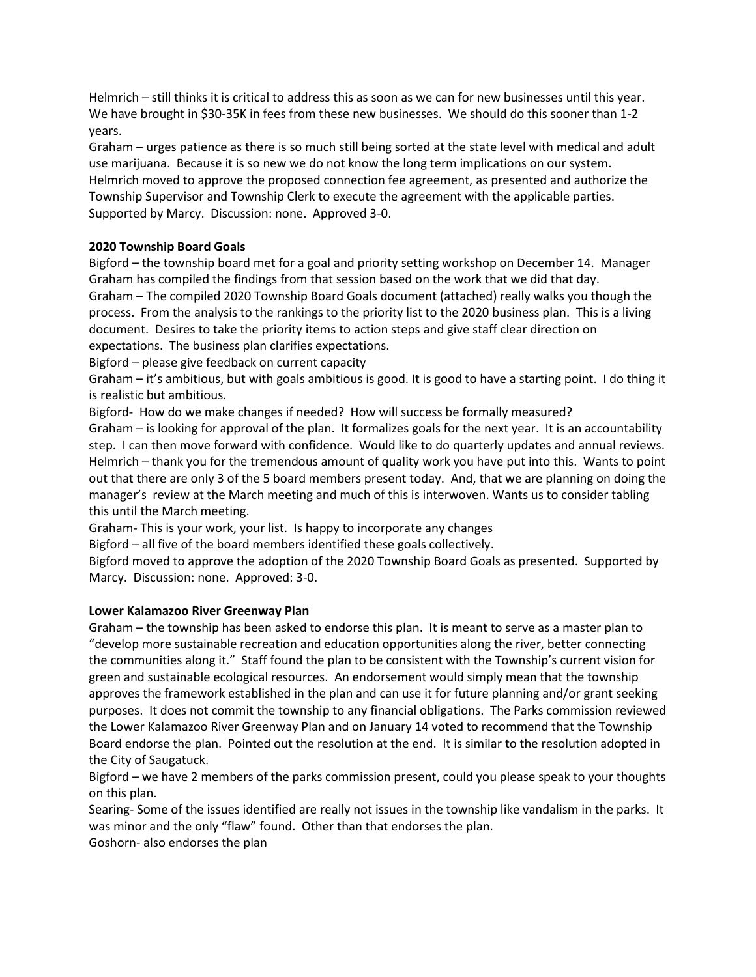Helmrich – still thinks it is critical to address this as soon as we can for new businesses until this year. We have brought in \$30-35K in fees from these new businesses. We should do this sooner than 1-2 years.

Graham – urges patience as there is so much still being sorted at the state level with medical and adult use marijuana. Because it is so new we do not know the long term implications on our system. Helmrich moved to approve the proposed connection fee agreement, as presented and authorize the Township Supervisor and Township Clerk to execute the agreement with the applicable parties. Supported by Marcy. Discussion: none. Approved 3-0.

# **2020 Township Board Goals**

Bigford – the township board met for a goal and priority setting workshop on December 14. Manager Graham has compiled the findings from that session based on the work that we did that day. Graham – The compiled 2020 Township Board Goals document (attached) really walks you though the process. From the analysis to the rankings to the priority list to the 2020 business plan. This is a living document. Desires to take the priority items to action steps and give staff clear direction on expectations. The business plan clarifies expectations.

Bigford – please give feedback on current capacity

Graham – it's ambitious, but with goals ambitious is good. It is good to have a starting point. I do thing it is realistic but ambitious.

Bigford- How do we make changes if needed? How will success be formally measured?

Graham – is looking for approval of the plan. It formalizes goals for the next year. It is an accountability step. I can then move forward with confidence. Would like to do quarterly updates and annual reviews. Helmrich – thank you for the tremendous amount of quality work you have put into this. Wants to point out that there are only 3 of the 5 board members present today. And, that we are planning on doing the manager's review at the March meeting and much of this is interwoven. Wants us to consider tabling this until the March meeting.

Graham- This is your work, your list. Is happy to incorporate any changes

Bigford – all five of the board members identified these goals collectively.

Bigford moved to approve the adoption of the 2020 Township Board Goals as presented. Supported by Marcy. Discussion: none. Approved: 3-0.

# **Lower Kalamazoo River Greenway Plan**

Graham – the township has been asked to endorse this plan. It is meant to serve as a master plan to "develop more sustainable recreation and education opportunities along the river, better connecting the communities along it." Staff found the plan to be consistent with the Township's current vision for green and sustainable ecological resources. An endorsement would simply mean that the township approves the framework established in the plan and can use it for future planning and/or grant seeking purposes. It does not commit the township to any financial obligations. The Parks commission reviewed the Lower Kalamazoo River Greenway Plan and on January 14 voted to recommend that the Township Board endorse the plan. Pointed out the resolution at the end. It is similar to the resolution adopted in the City of Saugatuck.

Bigford – we have 2 members of the parks commission present, could you please speak to your thoughts on this plan.

Searing- Some of the issues identified are really not issues in the township like vandalism in the parks. It was minor and the only "flaw" found. Other than that endorses the plan.

Goshorn- also endorses the plan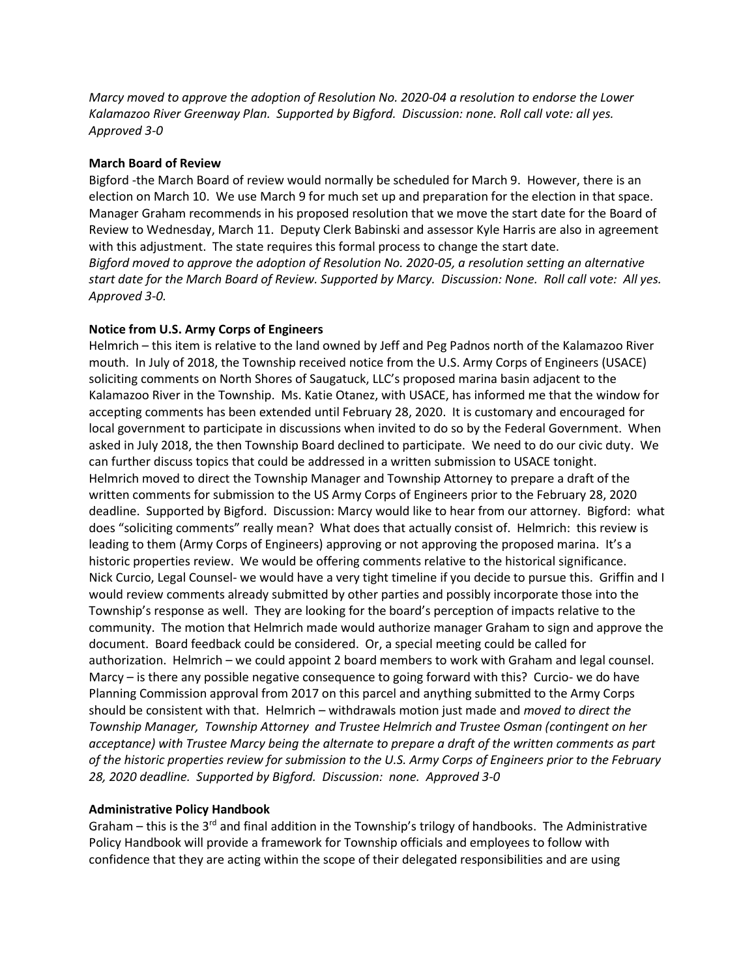*Marcy moved to approve the adoption of Resolution No. 2020-04 a resolution to endorse the Lower Kalamazoo River Greenway Plan. Supported by Bigford. Discussion: none. Roll call vote: all yes. Approved 3-0*

# **March Board of Review**

Bigford -the March Board of review would normally be scheduled for March 9. However, there is an election on March 10. We use March 9 for much set up and preparation for the election in that space. Manager Graham recommends in his proposed resolution that we move the start date for the Board of Review to Wednesday, March 11. Deputy Clerk Babinski and assessor Kyle Harris are also in agreement with this adjustment. The state requires this formal process to change the start date. *Bigford moved to approve the adoption of Resolution No. 2020-05, a resolution setting an alternative start date for the March Board of Review. Supported by Marcy. Discussion: None. Roll call vote: All yes. Approved 3-0.* 

## **Notice from U.S. Army Corps of Engineers**

Helmrich – this item is relative to the land owned by Jeff and Peg Padnos north of the Kalamazoo River mouth. In July of 2018, the Township received notice from the U.S. Army Corps of Engineers (USACE) soliciting comments on North Shores of Saugatuck, LLC's proposed marina basin adjacent to the Kalamazoo River in the Township. Ms. Katie Otanez, with USACE, has informed me that the window for accepting comments has been extended until February 28, 2020. It is customary and encouraged for local government to participate in discussions when invited to do so by the Federal Government. When asked in July 2018, the then Township Board declined to participate. We need to do our civic duty. We can further discuss topics that could be addressed in a written submission to USACE tonight. Helmrich moved to direct the Township Manager and Township Attorney to prepare a draft of the written comments for submission to the US Army Corps of Engineers prior to the February 28, 2020 deadline. Supported by Bigford. Discussion: Marcy would like to hear from our attorney. Bigford: what does "soliciting comments" really mean? What does that actually consist of. Helmrich: this review is leading to them (Army Corps of Engineers) approving or not approving the proposed marina. It's a historic properties review. We would be offering comments relative to the historical significance. Nick Curcio, Legal Counsel- we would have a very tight timeline if you decide to pursue this. Griffin and I would review comments already submitted by other parties and possibly incorporate those into the Township's response as well. They are looking for the board's perception of impacts relative to the community. The motion that Helmrich made would authorize manager Graham to sign and approve the document. Board feedback could be considered. Or, a special meeting could be called for authorization. Helmrich – we could appoint 2 board members to work with Graham and legal counsel. Marcy – is there any possible negative consequence to going forward with this? Curcio- we do have Planning Commission approval from 2017 on this parcel and anything submitted to the Army Corps should be consistent with that. Helmrich – withdrawals motion just made and *moved to direct the Township Manager, Township Attorney and Trustee Helmrich and Trustee Osman (contingent on her acceptance) with Trustee Marcy being the alternate to prepare a draft of the written comments as part of the historic properties review for submission to the U.S. Army Corps of Engineers prior to the February 28, 2020 deadline. Supported by Bigford. Discussion: none. Approved 3-0*

# **Administrative Policy Handbook**

Graham – this is the 3<sup>rd</sup> and final addition in the Township's trilogy of handbooks. The Administrative Policy Handbook will provide a framework for Township officials and employees to follow with confidence that they are acting within the scope of their delegated responsibilities and are using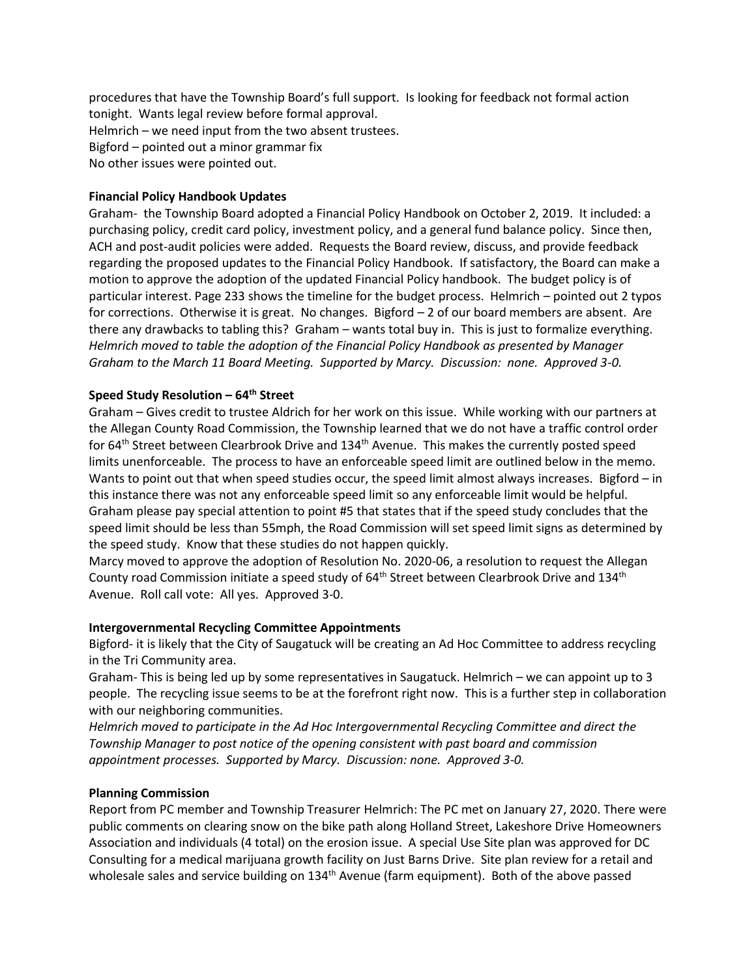procedures that have the Township Board's full support. Is looking for feedback not formal action tonight. Wants legal review before formal approval. Helmrich – we need input from the two absent trustees. Bigford – pointed out a minor grammar fix No other issues were pointed out.

## **Financial Policy Handbook Updates**

Graham- the Township Board adopted a Financial Policy Handbook on October 2, 2019. It included: a purchasing policy, credit card policy, investment policy, and a general fund balance policy. Since then, ACH and post-audit policies were added. Requests the Board review, discuss, and provide feedback regarding the proposed updates to the Financial Policy Handbook. If satisfactory, the Board can make a motion to approve the adoption of the updated Financial Policy handbook. The budget policy is of particular interest. Page 233 shows the timeline for the budget process. Helmrich – pointed out 2 typos for corrections. Otherwise it is great. No changes. Bigford – 2 of our board members are absent. Are there any drawbacks to tabling this? Graham – wants total buy in. This is just to formalize everything. *Helmrich moved to table the adoption of the Financial Policy Handbook as presented by Manager Graham to the March 11 Board Meeting. Supported by Marcy. Discussion: none. Approved 3-0.*

## **Speed Study Resolution – 64th Street**

Graham – Gives credit to trustee Aldrich for her work on this issue. While working with our partners at the Allegan County Road Commission, the Township learned that we do not have a traffic control order for 64<sup>th</sup> Street between Clearbrook Drive and 134<sup>th</sup> Avenue. This makes the currently posted speed limits unenforceable. The process to have an enforceable speed limit are outlined below in the memo. Wants to point out that when speed studies occur, the speed limit almost always increases. Bigford – in this instance there was not any enforceable speed limit so any enforceable limit would be helpful. Graham please pay special attention to point #5 that states that if the speed study concludes that the speed limit should be less than 55mph, the Road Commission will set speed limit signs as determined by the speed study. Know that these studies do not happen quickly.

Marcy moved to approve the adoption of Resolution No. 2020-06, a resolution to request the Allegan County road Commission initiate a speed study of 64<sup>th</sup> Street between Clearbrook Drive and 134<sup>th</sup> Avenue. Roll call vote: All yes. Approved 3-0.

#### **Intergovernmental Recycling Committee Appointments**

Bigford- it is likely that the City of Saugatuck will be creating an Ad Hoc Committee to address recycling in the Tri Community area.

Graham- This is being led up by some representatives in Saugatuck. Helmrich – we can appoint up to 3 people. The recycling issue seems to be at the forefront right now. This is a further step in collaboration with our neighboring communities.

*Helmrich moved to participate in the Ad Hoc Intergovernmental Recycling Committee and direct the Township Manager to post notice of the opening consistent with past board and commission appointment processes. Supported by Marcy. Discussion: none. Approved 3-0.* 

#### **Planning Commission**

Report from PC member and Township Treasurer Helmrich: The PC met on January 27, 2020. There were public comments on clearing snow on the bike path along Holland Street, Lakeshore Drive Homeowners Association and individuals (4 total) on the erosion issue. A special Use Site plan was approved for DC Consulting for a medical marijuana growth facility on Just Barns Drive. Site plan review for a retail and wholesale sales and service building on 134<sup>th</sup> Avenue (farm equipment). Both of the above passed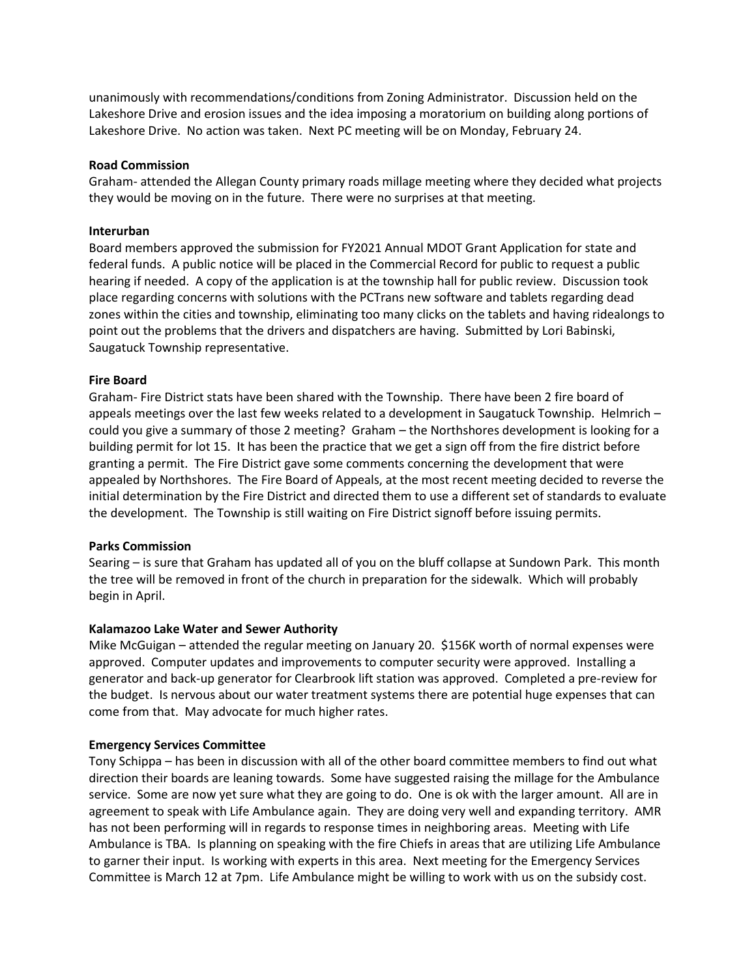unanimously with recommendations/conditions from Zoning Administrator. Discussion held on the Lakeshore Drive and erosion issues and the idea imposing a moratorium on building along portions of Lakeshore Drive. No action was taken. Next PC meeting will be on Monday, February 24.

### **Road Commission**

Graham- attended the Allegan County primary roads millage meeting where they decided what projects they would be moving on in the future. There were no surprises at that meeting.

## **Interurban**

Board members approved the submission for FY2021 Annual MDOT Grant Application for state and federal funds. A public notice will be placed in the Commercial Record for public to request a public hearing if needed. A copy of the application is at the township hall for public review. Discussion took place regarding concerns with solutions with the PCTrans new software and tablets regarding dead zones within the cities and township, eliminating too many clicks on the tablets and having ridealongs to point out the problems that the drivers and dispatchers are having. Submitted by Lori Babinski, Saugatuck Township representative.

# **Fire Board**

Graham- Fire District stats have been shared with the Township. There have been 2 fire board of appeals meetings over the last few weeks related to a development in Saugatuck Township. Helmrich – could you give a summary of those 2 meeting? Graham – the Northshores development is looking for a building permit for lot 15. It has been the practice that we get a sign off from the fire district before granting a permit. The Fire District gave some comments concerning the development that were appealed by Northshores. The Fire Board of Appeals, at the most recent meeting decided to reverse the initial determination by the Fire District and directed them to use a different set of standards to evaluate the development. The Township is still waiting on Fire District signoff before issuing permits.

# **Parks Commission**

Searing – is sure that Graham has updated all of you on the bluff collapse at Sundown Park. This month the tree will be removed in front of the church in preparation for the sidewalk. Which will probably begin in April.

# **Kalamazoo Lake Water and Sewer Authority**

Mike McGuigan – attended the regular meeting on January 20. \$156K worth of normal expenses were approved. Computer updates and improvements to computer security were approved. Installing a generator and back-up generator for Clearbrook lift station was approved. Completed a pre-review for the budget. Is nervous about our water treatment systems there are potential huge expenses that can come from that. May advocate for much higher rates.

#### **Emergency Services Committee**

Tony Schippa – has been in discussion with all of the other board committee members to find out what direction their boards are leaning towards. Some have suggested raising the millage for the Ambulance service. Some are now yet sure what they are going to do. One is ok with the larger amount. All are in agreement to speak with Life Ambulance again. They are doing very well and expanding territory. AMR has not been performing will in regards to response times in neighboring areas. Meeting with Life Ambulance is TBA. Is planning on speaking with the fire Chiefs in areas that are utilizing Life Ambulance to garner their input. Is working with experts in this area. Next meeting for the Emergency Services Committee is March 12 at 7pm. Life Ambulance might be willing to work with us on the subsidy cost.